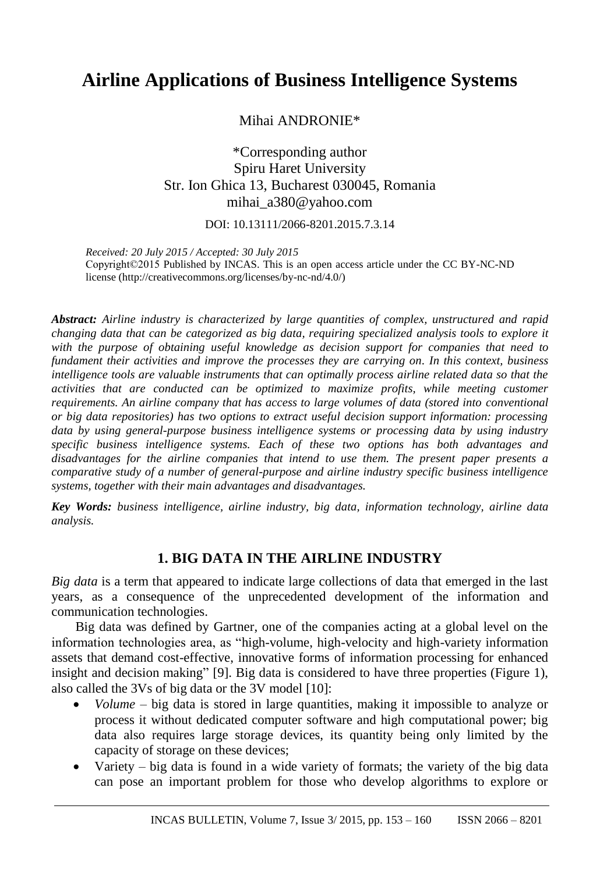# **Airline Applications of Business Intelligence Systems**

Mihai ANDRONIE\*

\*Corresponding author Spiru Haret University Str. Ion Ghica 13, Bucharest 030045, Romania mihai\_a380@yahoo.com

DOI: 10.13111/2066-8201.2015.7.3.14

*Received: 20 July 2015 / Accepted: 30 July 2015* Copyright©2015 Published by INCAS. This is an open access article under the CC BY-NC-ND license [\(http://creativecommons.org/licenses/by-nc-nd/4.0/\)](http://creativecommons.org/licenses/by-nc-nd/4.0/)

*Abstract: Airline industry is characterized by large quantities of complex, unstructured and rapid changing data that can be categorized as big data, requiring specialized analysis tools to explore it with the purpose of obtaining useful knowledge as decision support for companies that need to fundament their activities and improve the processes they are carrying on. In this context, business intelligence tools are valuable instruments that can optimally process airline related data so that the activities that are conducted can be optimized to maximize profits, while meeting customer requirements. An airline company that has access to large volumes of data (stored into conventional or big data repositories) has two options to extract useful decision support information: processing data by using general-purpose business intelligence systems or processing data by using industry specific business intelligence systems. Each of these two options has both advantages and disadvantages for the airline companies that intend to use them. The present paper presents a comparative study of a number of general-purpose and airline industry specific business intelligence systems, together with their main advantages and disadvantages.*

*Key Words: business intelligence, airline industry, big data, information technology, airline data analysis.*

# **1. BIG DATA IN THE AIRLINE INDUSTRY**

*Big data* is a term that appeared to indicate large collections of data that emerged in the last years, as a consequence of the unprecedented development of the information and communication technologies.

Big data was defined by Gartner, one of the companies acting at a global level on the information technologies area, as "high-volume, high-velocity and high-variety information assets that demand cost-effective, innovative forms of information processing for enhanced insight and decision making" [9]. Big data is considered to have three properties (Figure 1), also called the 3Vs of big data or the 3V model [10]:

- *Volume* big data is stored in large quantities, making it impossible to analyze or process it without dedicated computer software and high computational power; big data also requires large storage devices, its quantity being only limited by the capacity of storage on these devices;
- Variety big data is found in a wide variety of formats; the variety of the big data can pose an important problem for those who develop algorithms to explore or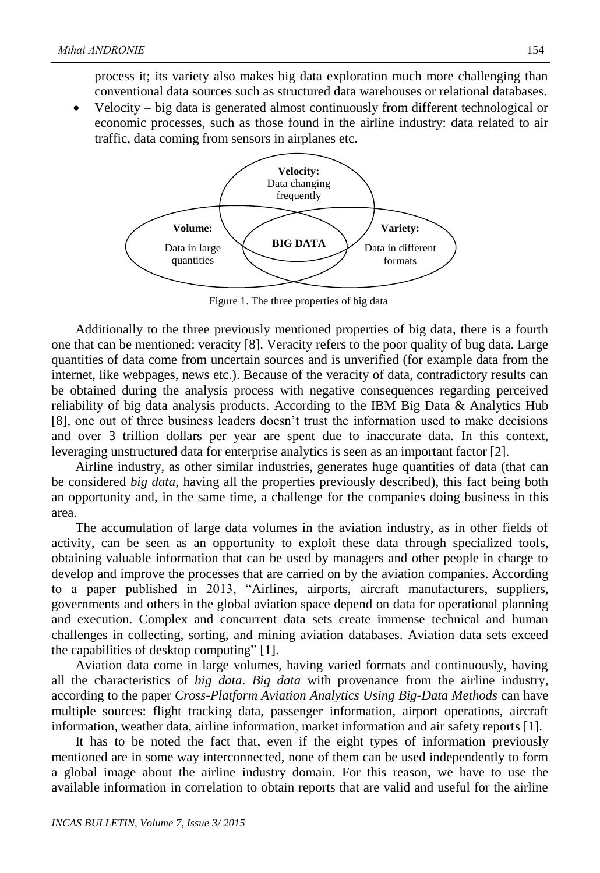process it; its variety also makes big data exploration much more challenging than conventional data sources such as structured data warehouses or relational databases.

 Velocity – big data is generated almost continuously from different technological or economic processes, such as those found in the airline industry: data related to air traffic, data coming from sensors in airplanes etc.



Figure 1. The three properties of big data

Additionally to the three previously mentioned properties of big data, there is a fourth one that can be mentioned: veracity [8]. Veracity refers to the poor quality of bug data. Large quantities of data come from uncertain sources and is unverified (for example data from the internet, like webpages, news etc.). Because of the veracity of data, contradictory results can be obtained during the analysis process with negative consequences regarding perceived reliability of big data analysis products. According to the IBM Big Data & Analytics Hub [8], one out of three business leaders doesn't trust the information used to make decisions and over 3 trillion dollars per year are spent due to inaccurate data. In this context, leveraging unstructured data for enterprise analytics is seen as an important factor [2].

Airline industry, as other similar industries, generates huge quantities of data (that can be considered *big data*, having all the properties previously described), this fact being both an opportunity and, in the same time, a challenge for the companies doing business in this area.

The accumulation of large data volumes in the aviation industry, as in other fields of activity, can be seen as an opportunity to exploit these data through specialized tools, obtaining valuable information that can be used by managers and other people in charge to develop and improve the processes that are carried on by the aviation companies. According to a paper published in 2013, "Airlines, airports, aircraft manufacturers, suppliers, governments and others in the global aviation space depend on data for operational planning and execution. Complex and concurrent data sets create immense technical and human challenges in collecting, sorting, and mining aviation databases. Aviation data sets exceed the capabilities of desktop computing" [1].

Aviation data come in large volumes, having varied formats and continuously, having all the characteristics of *big data*. *Big data* with provenance from the airline industry, according to the paper *Cross-Platform Aviation Analytics Using Big-Data Methods* can have multiple sources: flight tracking data, passenger information, airport operations, aircraft information, weather data, airline information, market information and air safety reports [1].

It has to be noted the fact that, even if the eight types of information previously mentioned are in some way interconnected, none of them can be used independently to form a global image about the airline industry domain. For this reason, we have to use the available information in correlation to obtain reports that are valid and useful for the airline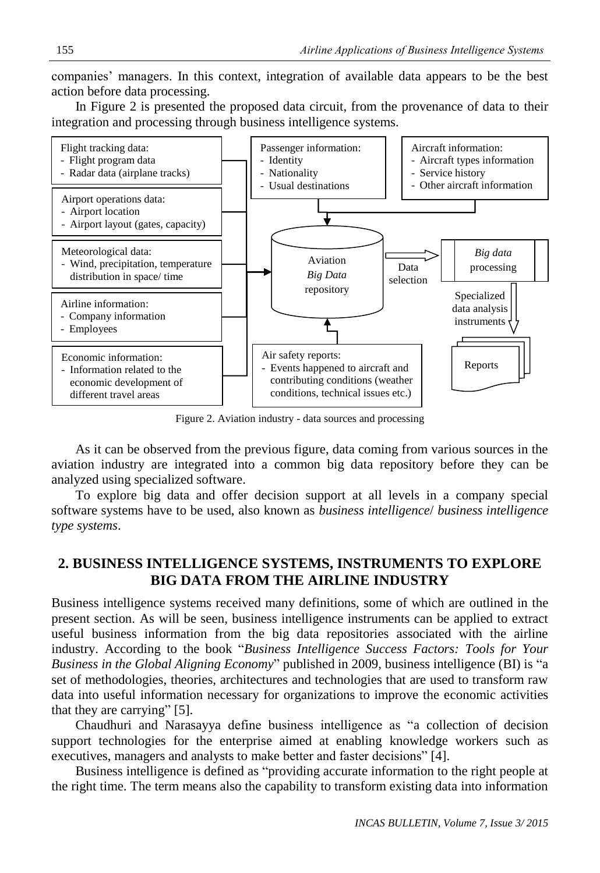companies' managers. In this context, integration of available data appears to be the best action before data processing.

In Figure 2 is presented the proposed data circuit, from the provenance of data to their integration and processing through business intelligence systems.



Figure 2. Aviation industry - data sources and processing

As it can be observed from the previous figure, data coming from various sources in the aviation industry are integrated into a common big data repository before they can be analyzed using specialized software.

To explore big data and offer decision support at all levels in a company special software systems have to be used, also known as *business intelligence*/ *business intelligence type systems*.

# **2. BUSINESS INTELLIGENCE SYSTEMS, INSTRUMENTS TO EXPLORE BIG DATA FROM THE AIRLINE INDUSTRY**

Business intelligence systems received many definitions, some of which are outlined in the present section. As will be seen, business intelligence instruments can be applied to extract useful business information from the big data repositories associated with the airline industry. According to the book "*Business Intelligence Success Factors: Tools for Your Business in the Global Aligning Economy*" published in 2009, business intelligence (BI) is "a set of methodologies, theories, architectures and technologies that are used to transform raw data into useful information necessary for organizations to improve the economic activities that they are carrying" [5].

Chaudhuri and Narasayya define business intelligence as "a collection of decision support technologies for the enterprise aimed at enabling knowledge workers such as executives, managers and analysts to make better and faster decisions" [4].

Business intelligence is defined as "providing accurate information to the right people at the right time. The term means also the capability to transform existing data into information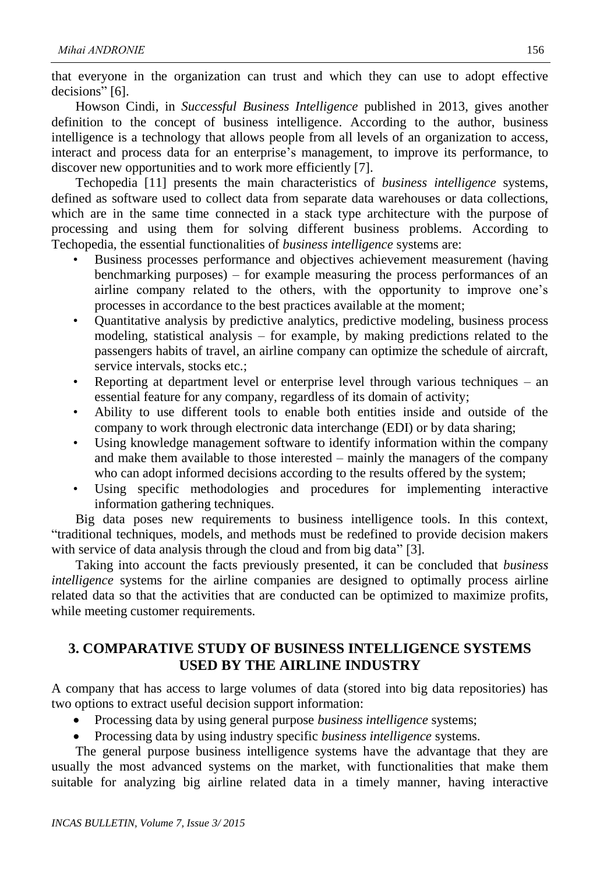that everyone in the organization can trust and which they can use to adopt effective decisions" [6].

Howson Cindi, in *Successful Business Intelligence* published in 2013, gives another definition to the concept of business intelligence. According to the author, business intelligence is a technology that allows people from all levels of an organization to access, interact and process data for an enterprise's management, to improve its performance, to discover new opportunities and to work more efficiently [7].

Techopedia [11] presents the main characteristics of *business intelligence* systems, defined as software used to collect data from separate data warehouses or data collections, which are in the same time connected in a stack type architecture with the purpose of processing and using them for solving different business problems. According to Techopedia, the essential functionalities of *business intelligence* systems are:

- Business processes performance and objectives achievement measurement (having benchmarking purposes) – for example measuring the process performances of an airline company related to the others, with the opportunity to improve one's processes in accordance to the best practices available at the moment;
- Quantitative analysis by predictive analytics, predictive modeling, business process modeling, statistical analysis – for example, by making predictions related to the passengers habits of travel, an airline company can optimize the schedule of aircraft, service intervals, stocks etc.;
- Reporting at department level or enterprise level through various techniques an essential feature for any company, regardless of its domain of activity;
- Ability to use different tools to enable both entities inside and outside of the company to work through electronic data interchange (EDI) or by data sharing;
- Using knowledge management software to identify information within the company and make them available to those interested – mainly the managers of the company who can adopt informed decisions according to the results offered by the system;
- Using specific methodologies and procedures for implementing interactive information gathering techniques.

Big data poses new requirements to business intelligence tools. In this context, "traditional techniques, models, and methods must be redefined to provide decision makers with service of data analysis through the cloud and from big data" [3].

Taking into account the facts previously presented, it can be concluded that *business intelligence* systems for the airline companies are designed to optimally process airline related data so that the activities that are conducted can be optimized to maximize profits, while meeting customer requirements.

# **3. COMPARATIVE STUDY OF BUSINESS INTELLIGENCE SYSTEMS USED BY THE AIRLINE INDUSTRY**

A company that has access to large volumes of data (stored into big data repositories) has two options to extract useful decision support information:

- Processing data by using general purpose *business intelligence* systems;
- Processing data by using industry specific *business intelligence* systems.

The general purpose business intelligence systems have the advantage that they are usually the most advanced systems on the market, with functionalities that make them suitable for analyzing big airline related data in a timely manner, having interactive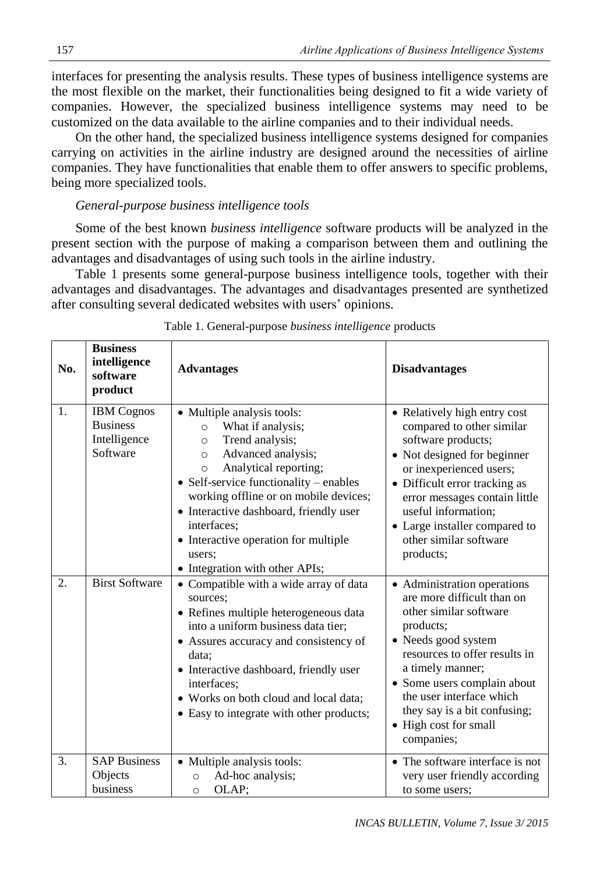interfaces for presenting the analysis results. These types of business intelligence systems are the most flexible on the market, their functionalities being designed to fit a wide variety of companies. However, the specialized business intelligence systems may need to be customized on the data available to the airline companies and to their individual needs.

On the other hand, the specialized business intelligence systems designed for companies carrying on activities in the airline industry are designed around the necessities of airline companies. They have functionalities that enable them to offer answers to specific problems, being more specialized tools.

### *General-purpose business intelligence tools*

Some of the best known *business intelligence* software products will be analyzed in the present section with the purpose of making a comparison between them and outlining the advantages and disadvantages of using such tools in the airline industry.

Table 1 presents some general-purpose business intelligence tools, together with their advantages and disadvantages. The advantages and disadvantages presented are synthetized after consulting several dedicated websites with users' opinions.

| No. | <b>Business</b><br>intelligence<br>software<br>product           | <b>Advantages</b>                                                                                                                                                                                                                                                                                                                                                                             | <b>Disadvantages</b>                                                                                                                                                                                                                                                                                           |
|-----|------------------------------------------------------------------|-----------------------------------------------------------------------------------------------------------------------------------------------------------------------------------------------------------------------------------------------------------------------------------------------------------------------------------------------------------------------------------------------|----------------------------------------------------------------------------------------------------------------------------------------------------------------------------------------------------------------------------------------------------------------------------------------------------------------|
| 1.  | <b>IBM</b> Cognos<br><b>Business</b><br>Intelligence<br>Software | • Multiple analysis tools:<br>What if analysis;<br>$\circ$<br>Trend analysis;<br>$\circ$<br>Advanced analysis;<br>$\circ$<br>Analytical reporting;<br>$\circ$<br>• Self-service functionality – enables<br>working offline or on mobile devices;<br>• Interactive dashboard, friendly user<br>interfaces;<br>• Interactive operation for multiple<br>users:<br>• Integration with other APIs; | • Relatively high entry cost<br>compared to other similar<br>software products;<br>• Not designed for beginner<br>or inexperienced users;<br>• Difficult error tracking as<br>error messages contain little<br>useful information;<br>• Large installer compared to<br>other similar software<br>products;     |
| 2.  | <b>Birst Software</b>                                            | • Compatible with a wide array of data<br>sources:<br>• Refines multiple heterogeneous data<br>into a uniform business data tier;<br>• Assures accuracy and consistency of<br>data;<br>• Interactive dashboard, friendly user<br>interfaces;<br>• Works on both cloud and local data;<br>• Easy to integrate with other products;                                                             | • Administration operations<br>are more difficult than on<br>other similar software<br>products;<br>• Needs good system<br>resources to offer results in<br>a timely manner;<br>• Some users complain about<br>the user interface which<br>they say is a bit confusing;<br>• High cost for small<br>companies; |
| 3.  | <b>SAP Business</b><br>Objects<br>business                       | • Multiple analysis tools:<br>Ad-hoc analysis;<br>$\circ$<br>OLAP:<br>$\circ$                                                                                                                                                                                                                                                                                                                 | • The software interface is not<br>very user friendly according<br>to some users:                                                                                                                                                                                                                              |

#### Table 1. General-purpose *business intelligence* products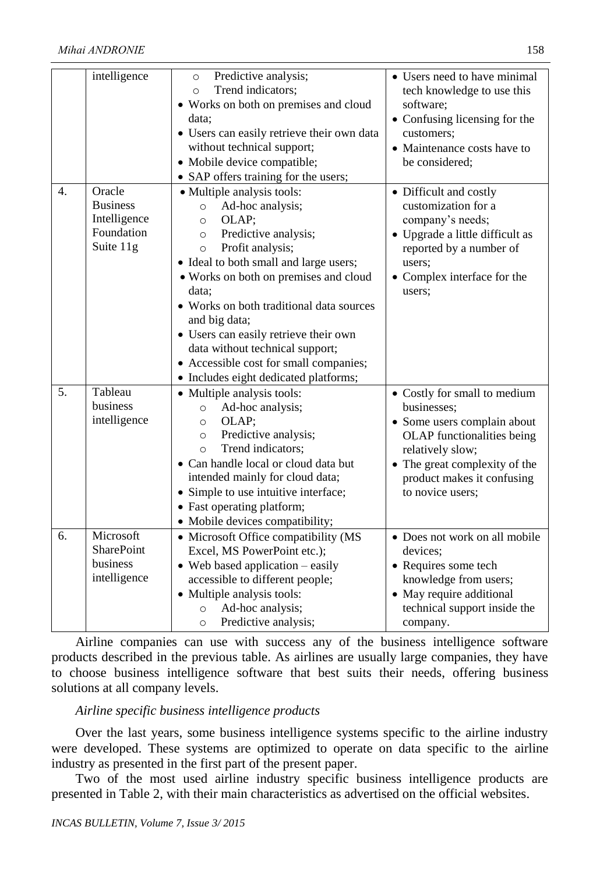|    | intelligence                                                         | Predictive analysis;<br>$\circ$<br>Trend indicators;<br>$\circ$<br>• Works on both on premises and cloud<br>data:<br>• Users can easily retrieve their own data<br>without technical support;<br>· Mobile device compatible;<br>• SAP offers training for the users;                                                                                                                                                                                                     | • Users need to have minimal<br>tech knowledge to use this<br>software;<br>• Confusing licensing for the<br>customers;<br>• Maintenance costs have to<br>be considered;                                         |
|----|----------------------------------------------------------------------|--------------------------------------------------------------------------------------------------------------------------------------------------------------------------------------------------------------------------------------------------------------------------------------------------------------------------------------------------------------------------------------------------------------------------------------------------------------------------|-----------------------------------------------------------------------------------------------------------------------------------------------------------------------------------------------------------------|
| 4. | Oracle<br><b>Business</b><br>Intelligence<br>Foundation<br>Suite 11g | • Multiple analysis tools:<br>Ad-hoc analysis;<br>$\circ$<br>OLAP;<br>$\Omega$<br>Predictive analysis;<br>$\circ$<br>Profit analysis;<br>$\circ$<br>· Ideal to both small and large users;<br>• Works on both on premises and cloud<br>data:<br>• Works on both traditional data sources<br>and big data;<br>• Users can easily retrieve their own<br>data without technical support;<br>• Accessible cost for small companies;<br>• Includes eight dedicated platforms; | • Difficult and costly<br>customization for a<br>company's needs;<br>• Upgrade a little difficult as<br>reported by a number of<br>users;<br>• Complex interface for the<br>users;                              |
| 5. | Tableau<br>business<br>intelligence                                  | • Multiple analysis tools:<br>Ad-hoc analysis;<br>$\circ$<br>OLAP;<br>$\circ$<br>Predictive analysis;<br>$\circ$<br>Trend indicators;<br>$\circ$<br>• Can handle local or cloud data but<br>intended mainly for cloud data;<br>• Simple to use intuitive interface;<br>• Fast operating platform;<br>• Mobile devices compatibility;                                                                                                                                     | • Costly for small to medium<br>businesses;<br>• Some users complain about<br>OLAP functionalities being<br>relatively slow;<br>• The great complexity of the<br>product makes it confusing<br>to novice users; |
| 6. | Microsoft<br><b>SharePoint</b><br>business<br>intelligence           | • Microsoft Office compatibility (MS<br>Excel, MS PowerPoint etc.);<br>$\bullet$ Web based application $-$ easily<br>accessible to different people;<br>• Multiple analysis tools:<br>Ad-hoc analysis;<br>$\circ$<br>Predictive analysis;<br>$\circ$                                                                                                                                                                                                                     | • Does not work on all mobile<br>devices;<br>• Requires some tech<br>knowledge from users;<br>• May require additional<br>technical support inside the<br>company.                                              |

Airline companies can use with success any of the business intelligence software products described in the previous table. As airlines are usually large companies, they have to choose business intelligence software that best suits their needs, offering business solutions at all company levels.

## *Airline specific business intelligence products*

Over the last years, some business intelligence systems specific to the airline industry were developed. These systems are optimized to operate on data specific to the airline industry as presented in the first part of the present paper.

Two of the most used airline industry specific business intelligence products are presented in Table 2, with their main characteristics as advertised on the official websites.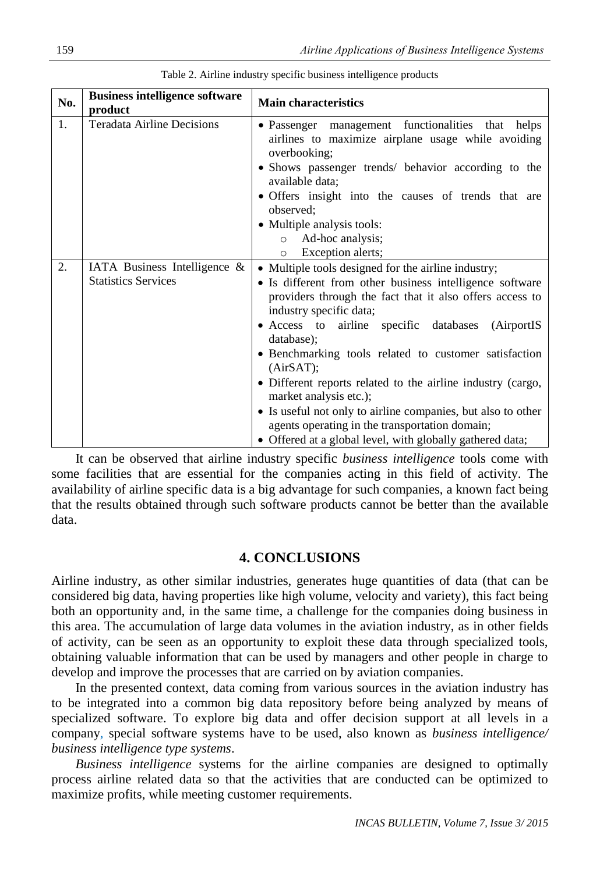| No. | <b>Business intelligence software</b><br>product           | <b>Main characteristics</b>                                                                                                                                                                                                                                                                                                                                                                                                                                                                                                                                                                                                |
|-----|------------------------------------------------------------|----------------------------------------------------------------------------------------------------------------------------------------------------------------------------------------------------------------------------------------------------------------------------------------------------------------------------------------------------------------------------------------------------------------------------------------------------------------------------------------------------------------------------------------------------------------------------------------------------------------------------|
| 1.  | <b>Teradata Airline Decisions</b>                          | • Passenger management functionalities that helps<br>airlines to maximize airplane usage while avoiding<br>overbooking;<br>• Shows passenger trends/ behavior according to the<br>available data;<br>• Offers insight into the causes of trends that are<br>observed;<br>• Multiple analysis tools:<br>Ad-hoc analysis;<br>$\circ$<br>Exception alerts;<br>$\circ$                                                                                                                                                                                                                                                         |
| 2.  | IATA Business Intelligence &<br><b>Statistics Services</b> | • Multiple tools designed for the airline industry;<br>• Is different from other business intelligence software<br>providers through the fact that it also offers access to<br>industry specific data;<br>• Access to airline specific databases<br>(AirportIS<br>database);<br>• Benchmarking tools related to customer satisfaction<br>(AirSAT);<br>• Different reports related to the airline industry (cargo,<br>market analysis etc.);<br>• Is useful not only to airline companies, but also to other<br>agents operating in the transportation domain;<br>• Offered at a global level, with globally gathered data; |

Table 2. Airline industry specific business intelligence products

It can be observed that airline industry specific *business intelligence* tools come with some facilities that are essential for the companies acting in this field of activity. The availability of airline specific data is a big advantage for such companies, a known fact being that the results obtained through such software products cannot be better than the available data.

### **4. CONCLUSIONS**

Airline industry, as other similar industries, generates huge quantities of data (that can be considered big data, having properties like high volume, velocity and variety), this fact being both an opportunity and, in the same time, a challenge for the companies doing business in this area. The accumulation of large data volumes in the aviation industry, as in other fields of activity, can be seen as an opportunity to exploit these data through specialized tools, obtaining valuable information that can be used by managers and other people in charge to develop and improve the processes that are carried on by aviation companies.

In the presented context, data coming from various sources in the aviation industry has to be integrated into a common big data repository before being analyzed by means of specialized software. To explore big data and offer decision support at all levels in a company, special software systems have to be used, also known as *business intelligence/ business intelligence type systems*.

*Business intelligence* systems for the airline companies are designed to optimally process airline related data so that the activities that are conducted can be optimized to maximize profits, while meeting customer requirements.